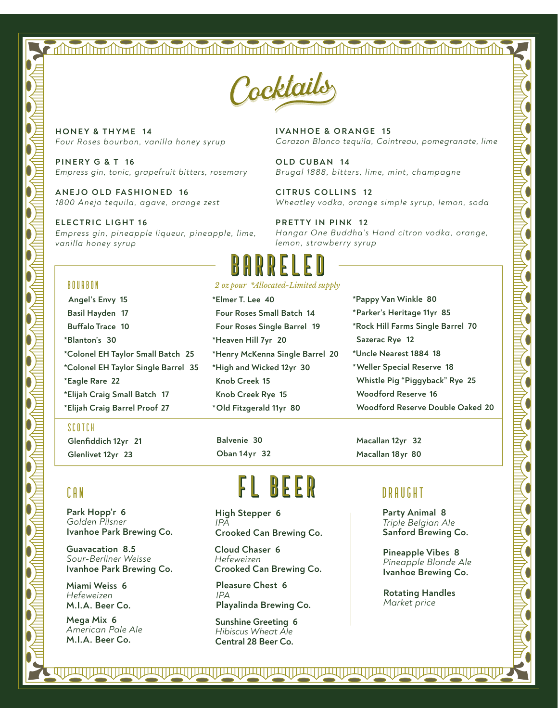## 



**HONEY & THYME 14** *Four Roses bourbon, vanilla honey syrup*

**PINERY G & T 16** *Empress gin, tonic, grapefruit bitters, rosemary*

**ANEJO OLD FASHIONED 16** *1800 Anejo tequila, agave, orange zest*

**ELECTRIC LIGHT 16** *Empress gin, pineapple liqueur, pineapple, lime, vanilla honey syrup*

**IVANHOE & ORANGE 15** *Corazon Blanco tequila, Cointreau, pomegranate, lime*

**OLD CUBAN 14** *Brugal 1888, bitters, lime, mint, champagne*

**CITRUS COLLINS 12** *Wheatley vodka, orange simple syrup, lemon, soda*

**PRETTY IN PINK 12** *Hangar One Buddha's Hand citron vodka, orange, lemon, strawberry syrup*

# **b**<br>*2 oz pour \*Allocated-Limited supply*

#### bourbon

 **Angel's Envy 15 Basil Hayden 17 Bufalo Trace 10 \*Blanton's 30 \*Colonel EH Taylor Small Batch 25 \*Colonel EH Taylor Single Barrel 35 \*Eagle Rare 22 \*Elijah Craig Small Batch 17 \*Elijah Craig Barrel Proof 27**

#### scotch

**Glenfiddich 12yr 21 Glenlivet 12yr 23**

### can

**Park Hopp'r 6**  *Golden Pilsner* **Ivanhoe Park Brewing Co.**

**Guavacation 8.5**  *Sour-Berliner Weisse* **Ivanhoe Park Brewing Co.**

**Miami Weiss 6**  *Hefeweizen* **M.I.A. Beer Co.**

**Mega Mix 6**  *American Pale Ale* **M.I.A. Beer Co.**

**\*Elmer T. Lee 40 Four Roses Small Batch 14 Four Roses Single Barrel 19 \*Heaven Hill 7yr 20 \*Henry McKenna Single Barrel 20 \*High and Wicked 12yr 30 Knob Creek 15 Knob Creek Rye 15 \*Old Fitzgerald 11yr 80**

**Balvenie 30 Oban 14yr 32**

# FL BEER

**High Stepper 6**  *IPA* **Crooked Can Brewing Co.**

**Cloud Chaser 6**  *Hefeweizen* **Crooked Can Brewing Co.**

**Pleasure Chest 6**  *IPA* **Playalinda Brewing Co.**

**Sunshine Greeting 6**  *Hibiscus Wheat Ale* **Central 28 Beer Co.**

<u>JAQI || JAQI || JAQI || JAQI || JAQI || JAQI || JAQI || JAQI || JAQI || JAQI || JAQI || JAQI || JAQI || JAQI || JAQ</u>

**\*Pappy Van Winkle 80 \*Parker's Heritage 11yr 85 \*Rock Hill Farms Single Barrel 70**

- **Sazerac Rye 12**
- **\*Uncle Nearest 1884 18**
- **\*Weller Special Reserve 18 Whistle Pig "Piggyback" Rye 25 Woodford Reserve 16**

**Woodford Reserve Double Oaked 20**

**Macallan 12yr 32 Macallan 18yr 80**

### DRAUGHT

**Party Animal 8**  *Triple Belgian Ale* **Sanford Brewing Co.**

**Pineapple Vibes 8**  *Pineapple Blonde Ale* **Ivanhoe Brewing Co.**

**Rotating Handles** *Market price*